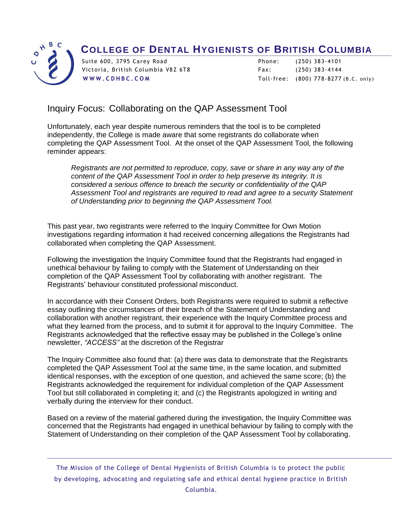

 $\overline{a}$ 

## **COLLEGE OF DENTAL HYGIENISTS OF BRITISH COLUMBIA**

Victoria, British Columbia V8Z 6T8 Fax: (250) 383-4144

Suite 600, 3795 Carey Road Phone: (250) 383-4101 **WWW.CDHBC.COM** Toll-free: (800) 778-8277 (B.C. only)

## Inquiry Focus: Collaborating on the QAP Assessment Tool

Unfortunately, each year despite numerous reminders that the tool is to be completed independently, the College is made aware that some registrants do collaborate when completing the QAP Assessment Tool. At the onset of the QAP Assessment Tool, the following reminder appears:

*Registrants are not permitted to reproduce, copy, save or share in any way any of the content of the QAP Assessment Tool in order to help preserve its integrity. It is considered a serious offence to breach the security or confidentiality of the QAP Assessment Tool and registrants are required to read and agree to a security Statement of Understanding prior to beginning the QAP Assessment Tool.*

This past year, two registrants were referred to the Inquiry Committee for Own Motion investigations regarding information it had received concerning allegations the Registrants had collaborated when completing the QAP Assessment.

Following the investigation the Inquiry Committee found that the Registrants had engaged in unethical behaviour by failing to comply with the Statement of Understanding on their completion of the QAP Assessment Tool by collaborating with another registrant. The Registrants' behaviour constituted professional misconduct.

In accordance with their Consent Orders, both Registrants were required to submit a reflective essay outlining the circumstances of their breach of the Statement of Understanding and collaboration with another registrant, their experience with the Inquiry Committee process and what they learned from the process, and to submit it for approval to the Inquiry Committee. The Registrants acknowledged that the reflective essay may be published in the College's online newsletter, *"ACCESS"* at the discretion of the Registrar

The Inquiry Committee also found that: (a) there was data to demonstrate that the Registrants completed the QAP Assessment Tool at the same time, in the same location, and submitted identical responses, with the exception of one question, and achieved the same score; (b) the Registrants acknowledged the requirement for individual completion of the QAP Assessment Tool but still collaborated in completing it; and (c) the Registrants apologized in writing and verbally during the interview for their conduct.

Based on a review of the material gathered during the investigation, the Inquiry Committee was concerned that the Registrants had engaged in unethical behaviour by failing to comply with the Statement of Understanding on their completion of the QAP Assessment Tool by collaborating.